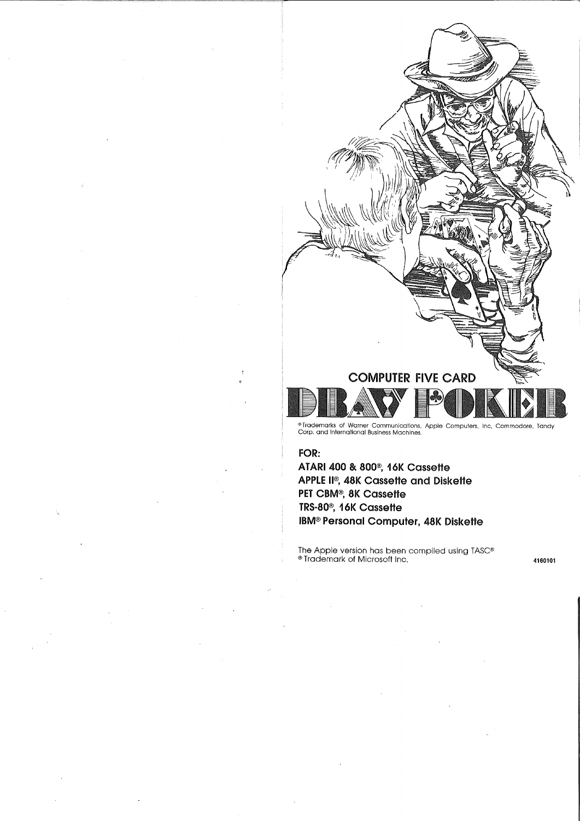

#### **FOR:**

**ATARI 400 & 800®, 16K Cassette APPLE II®, 48K Cassette and Diskette PET CBM®, 8K Cassette TRS·80®, 16K Cassette IBM® Personal Computer, 48K Diskette**

The Apple version has been compiled using TASC® ®Trademark of Microsoft Inc. **<sup>4160101</sup>**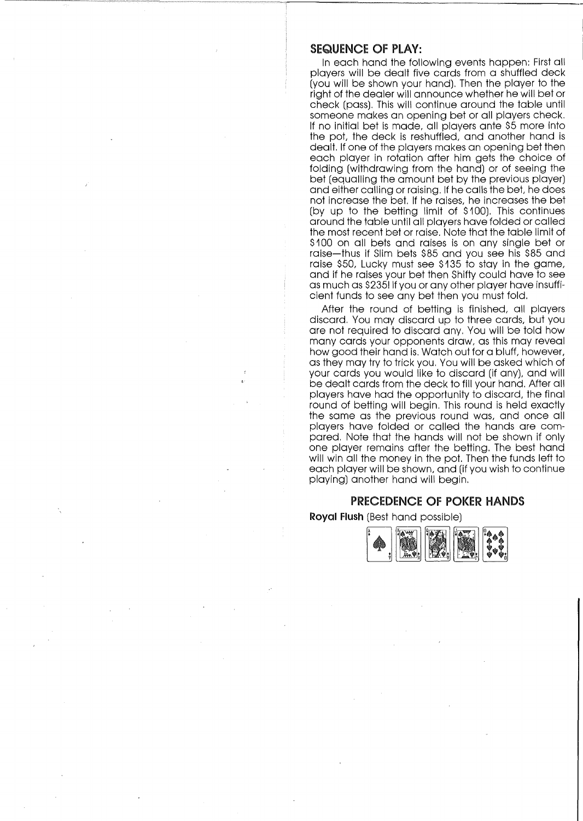## SEQUENCE OF PLAY:

In each hand the following events happen: First all players will be dealt five cards from a shuffled deck (you will be shown your hand), Then the player to the right of the dealer will announce whether he will bet or check (pass), This will continue around the table until someone makes an opening bet or all players check, If no initial bet is made, all players ante \$5 more Into the pot, the deck is reshuffled, and another hand is dealt. If one of the players makes an opening bet then each player in rotation after him gets the choice of folding (withdrawing from the hand) or of seeing the bet (equalling the amount bet by the previous player) and either calling or raising. If he calls the bet, he does not increase the bet, If he raises, he increases the bet (by up to the betting limit of \$100), This continues around the table until all players have folded or called the most recent bet or raise, Note that the table limit of \$100 on all bets and raises is on any single bet or raise-thus if Slim bets \$85 and you see his \$85 and raise \$50, Lucky must see \$135 to stay in the game, and if he raises your bet then Shifty could have to see as much as \$2351 If you or any other player have insufficient funds to see any bet then you must fold,

After the round of betting is finished, all players discard, You may discard up to three cards, but you are not required to discard any, You will be told how many cards your opponents draw, as this may reveal how good their hand is, Watch out for a bluff, however, as they may try to trick you, You will be asked which of your cards you would like to discard (if any), and will be dealt cards from the deck to fill your hand, After all players have had the opportunity to discard, the final round of betting will begin, This round is held exactly the same as the previous round was, and once all players have folded or called the hands are compared, Note that the hands will not be shown if only one player remains after the betting, The best hand will win all the money in the pot, Then the funds left to each player will be shown, and (if you wish to continue playing) another hand will begin,

# PRECEDENCE OF POKER HANDS

**Royal Flush** (Best hand possible)

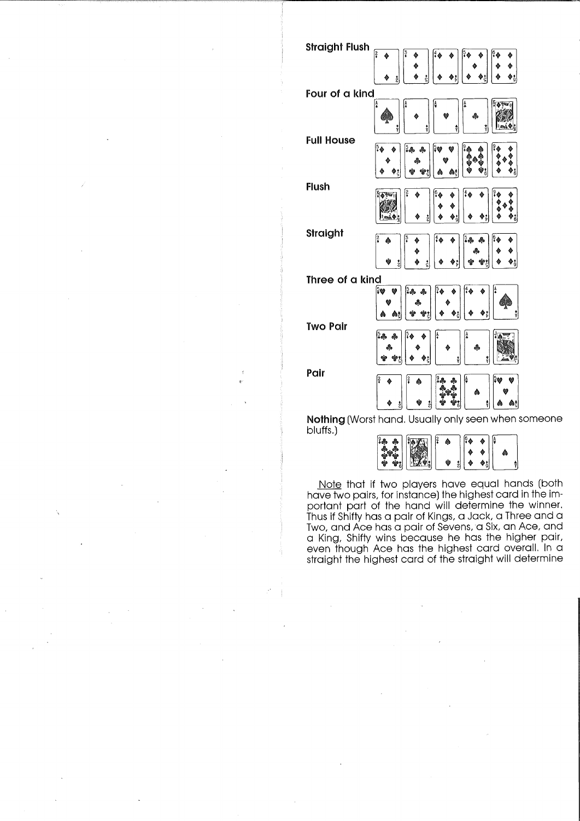| <b>Straight Flush</b> |                                                     |
|-----------------------|-----------------------------------------------------|
|                       | <u>ဒြ</u><br>្ទឹ<br>۰                               |
|                       | å                                                   |
| Four of a kind        |                                                     |
|                       | å,<br>A<br>O<br>4<br>ക<br>ŷ<br>ŷ<br>Ŷ               |
| <b>Full House</b>     | [5<br>(•<br>¦50<br>24<br>ஃ                          |
|                       |                                                     |
| Flush                 | Аĉ                                                  |
|                       | ó                                                   |
| Straight              | $4\spadesuit$<br>3.8<br>晶                           |
|                       | Φġ<br>ş<br>Фř<br>έ                                  |
| Three of a kind       |                                                     |
|                       | ြး န<br>ł,<br>5♥<br>ஃ<br>Аç                         |
| <b>Two Pair</b>       |                                                     |
|                       | $3 -$<br>Ą<br>d.<br>Ŷ<br>ÿ                          |
| Pair                  | 2<br>ŝ<br>ঃ♥<br>ê<br>V<br>秦                         |
|                       | ٨<br>ż<br>Ŷ<br>Αţ<br>ž                              |
|                       | Nothing (Worst hand. Usually only seen when someone |

bluffs.)

| ۰<br>$-1.5$ and $-1$ | ماييان به<br>فتشرد<br>r c | 12 | S | I۵ |  |  |
|----------------------|---------------------------|----|---|----|--|--|
|                      |                           |    |   |    |  |  |

Note that if two players have equal hands (both have two pairs, for instance) the highest card in the important part of the hand will determine the winner. Thus if Shifty has a pair of Kings, a Jack, a Three and a Two, and Ace has a pair of Sevens, a Six, an Ace, and a King, Shifty wins because he has the higher pair, even though Ace has the highest card overall. In c straight the highest card of the straight will determine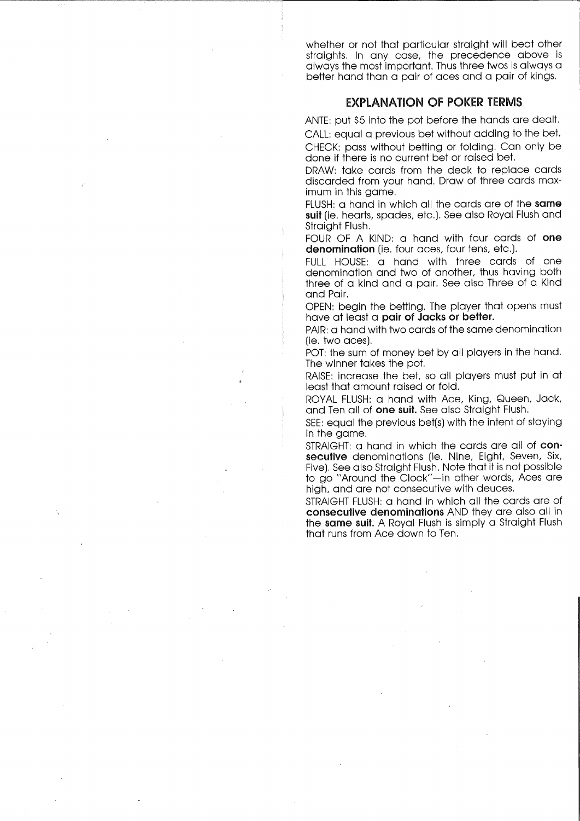whether or not that particular straight will beat other straights. In any case, the precedence above is always the most important. Thus three twos is always a better hand than a pair of aces and a pair of kings.

# EXPLANATION OF POKER TERMS

ANTE: put \$5 into the pot before the hands are dealt.

CALL: equal a previous bet without adding to the bet. CHECK: pass without betting or folding. Can only be done if there is no current bet or raised bet.

DRAW: take cards from the deck to replace cards discarded from your hand. Draw of three cards maximum in this game.

FLUSH: a hand in which all the cards are of the same suit (ie. hearts, spades, etc.). See also Royal Flush and Straight Flush.

FOUR OF A KIND: a hand with four cards of one denomination (ie. four aces, four tens, etc.).

FULL HOUSE: a hand with three cards of one denomination and two of another, thus having both three of a kind and a pair. See also Three of a Kind and Pair.

OPEN: begin the betting. The player that opens must have at least a pair of Jacks or better.

PAIR: a hand with two cards of the same denomination (ie. two aces).

POT: the sum of money bet by all players in the hand. The winner takes the pot.

RAISE: increase the bet, so all players must put in at least that amount raised or fold.

ROYAL FLUSH: a hand with Ace, King, Queen, Jack, and Ten all of **one suit.** See also Straight Flush.

SEE: equal the previous bet(s) with the intent of staying in the game.

STRAIGHT: a hand in which the cards are all of consecutive denominations (ie. Nine, Eight, Seven, Six, Five). See also Straight Flush. Note that it is not possible to go "Around the Clock"-in other words, Aces are high, and are not consecutive with deuces.

STRAIGHT FLUSH: a hand in which all the cards are of consecutive denominations AND they are also all in the same suit. A Royal Flush is simply a Straight Flush that runs from Ace down to Ten.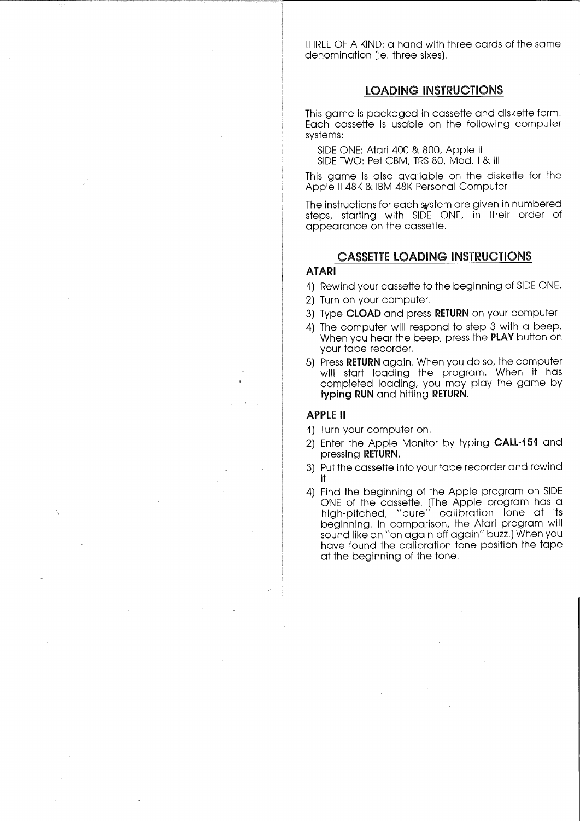THREE OF A KIND: a hand with three cards of the same denomination (ie, three sixes),

# LOADING INSTRUCTIONS

This game is packaged in cassette and diskette form, Each cassette is usable on the following computer systems:

SIDE ONE: Atari 400 & 800, Apple II SIDE TWO: Pet CBM, TRS-80, Mod, I & III

This game is also available on the diskette for the Apple II 48K & IBM 48K Personal Computer

The instructions for each system are given in numbered steps, starting with SIDE ONE, in their order of appearance on the cassette,

# CASSETTE LOADING INSTRUCTIONS

#### **ATARI**

- 1) Rewind your cassette to the beginning of SIDE ONE,
- 2) Turn on your computer,
- 3) Type CLOAD and press RETURN on your computer,
- 4) The computer will respond to step 3 with a beep, When you hear the beep, press the **PLAY** button on your tape recorder,
- 5) Press RETURN again, When you do so, the computer will start loading the program, When it has completed loading, you may play the game by typing RUN and hitting RETURN.

## APPLE II

- 1) Turn your computer on,
- 2) Enter the Apple Monitor by typing CALL·151 and pressing RETURN.
- 3) Put the cassette into your tape recorder and rewind it,
- 4) Find the beginning of the Apple program on SIDE ONE of the cassette. (The Apple program has c high-pitched, "pure" calibration tone at its beginning, In comparison, the Atari program will sound like an "on again-off again" buzz.) When you have found the calibration tone position the tape at the beginning of the tone,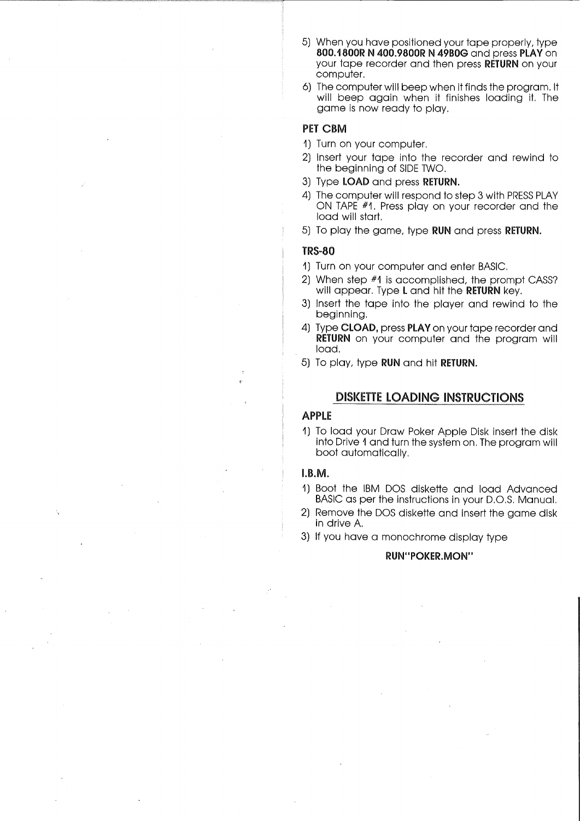- 5) When you have positioned your tape properly, type 800.1800R N 400.9800R N 49BOG and press PLAY on your tape recorder and then press RETURN on your computer,
- 6) The computer will beep when it finds the program. It will beep again when it finishes loading it. The game is now ready to play,

## PET CBM

- 1) Turn on your computer,
- 2) Insert your tape Into the recorder and rewind to the beginning of SIDE TWO,
- 3) Type LOAD and press RETURN.
- 4) The computer will respond to step 3 with PRESS PLAY ON TAPE #1, Press play on your recorder and the load will start,
- 5) To play the game, type RUN and press RETURN.

## iRS·80

- 1) Turn on your computer and enter BASIC.
- 2) When step #1 is accomplished, the prompt CASS? will appear. Type **L** and hit the **RETURN** key.
- 3) Insert the tape Into the player and rewind to the beginning,
- 4) Type CLOAD, press PLAY on your tape recorder and RETURN on your computer and the program will load,
- 5) To play, type RUN and hit RETURN.

## DISKETTE LOADING INSTRUCTIONS

# APPLE

1) To load your Draw Poker Apple Disk insert the disk into Drive 1 and turn the system on. The program will boot automatically,

#### I.B.M.

- 1) Boot the IBM DOS diskette and load Advanced BASIC as per the Instructions in your D.O,S. Manual.
- 2) Remove the DOS diskette and insert the game disk in drive A.
- 3) If you have a monochrome display type

#### RUN"POKER.MON"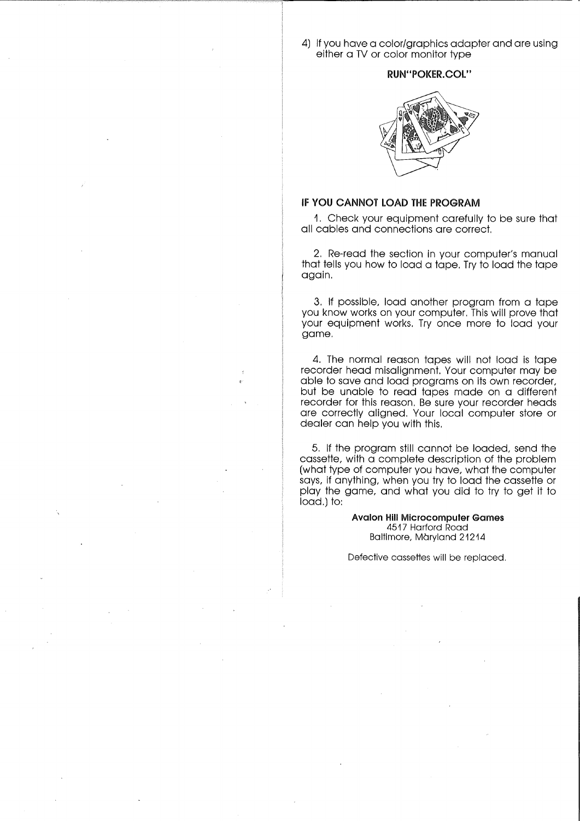4) If you have a color/graphics adapter and are using either a TV or color monitor type

## **RUN"POKER.COL"**



#### **IF YOU CANNOT LOAD THE** PROGRAM

1, Check your equipment carefully to be sure that all cables and connections are correct,

2, Re-read the section in your computer's manual that tells you how to load a tape, Try to load the tape again,

3, If possible, load another program from a tape you know works on your computer, This will prove that your equipment works, Try once more to load your game.

4, The normal reason tapes will not load is tape recorder head misalignment. Your computer may be able to save and load programs on its own recorder, but be unable to read tapes made on a different recorder for this reason. Be sure your recorder heads are correctly aligned, Your local computer store or dealer can help you with this,

5. If the program still cannot be loaded, send the cassette, with a complete description of the problem (what type of computer you have, what the computer says, if anything, when you try to load the cassette or play the game, and what you did to try to get it to load.) to:

> **Avalon Hill Microcomputer** Games 4517 Harford Road Baltimore, Maryland 21214

Defective cassettes will be replaced.